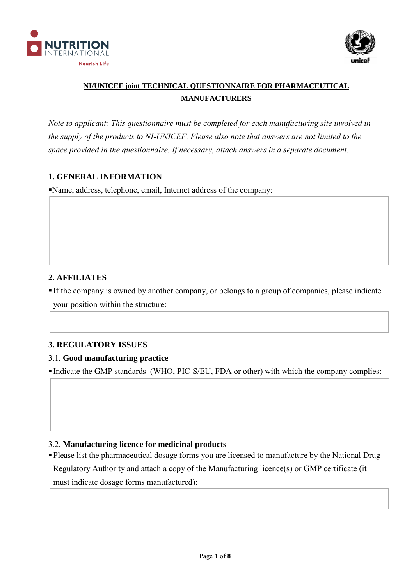



# **NI/UNICEF joint TECHNICAL QUESTIONNAIRE FOR PHARMACEUTICAL MANUFACTURERS**

*Note to applicant: This questionnaire must be completed for each manufacturing site involved in the supply of the products to NI-UNICEF. Please also note that answers are not limited to the space provided in the questionnaire. If necessary, attach answers in a separate document.* 

## **1. GENERAL INFORMATION**

Name, address, telephone, email, Internet address of the company:

# **2. AFFILIATES**

 If the company is owned by another company, or belongs to a group of companies, please indicate your position within the structure:

## **3. REGULATORY ISSUES**

## 3.1. **Good manufacturing practice**

Indicate the GMP standards (WHO, PIC-S/EU, FDA or other) with which the company complies:

## 3.2. **Manufacturing licence for medicinal products**

Please list the pharmaceutical dosage forms you are licensed to manufacture by the National Drug Regulatory Authority and attach a copy of the Manufacturing licence(s) or GMP certificate (it must indicate dosage forms manufactured):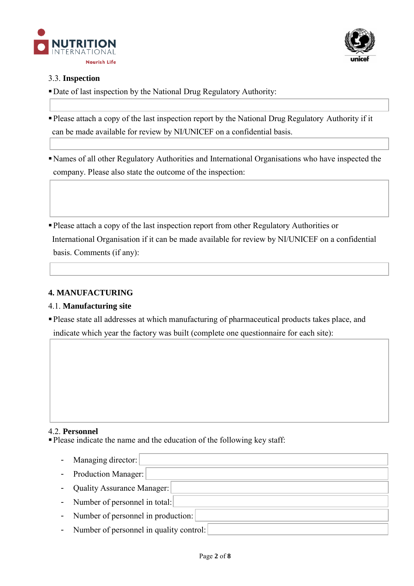



## 3.3. **Inspection**

- Date of last inspection by the National Drug Regulatory Authority:
- Please attach a copy of the last inspection report by the National Drug Regulatory Authority if it can be made available for review by NI/UNICEF on a confidential basis.
- Names of all other Regulatory Authorities and International Organisations who have inspected the company. Please also state the outcome of the inspection:
- Please attach a copy of the last inspection report from other Regulatory Authorities or International Organisation if it can be made available for review by NI/UNICEF on a confidential basis. Comments (if any):

## **4. MANUFACTURING**

## 4.1. **Manufacturing site**

Please state all addresses at which manufacturing of pharmaceutical products takes place, and indicate which year the factory was built (complete one questionnaire for each site):

## 4.2. **Personnel**

Please indicate the name and the education of the following key staff:

- Managing director: - Production Manager: - Quality Assurance Manager: - Number of personnel in total: - Number of personnel in production: - Number of personnel in quality control: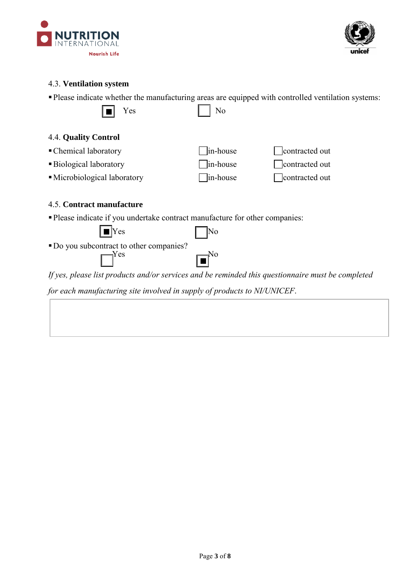



#### 4.3. **Ventilation system**

Please indicate whether the manufacturing areas are equipped with controlled ventilation systems:

|--|--|

| Yes | No |
|-----|----|
|     |    |

# 4.4. **Quality Control**

• Chemical laboratory in-house contracted out ■Biological laboratory in-house contracted out • Microbiological laboratory in-house contracted out

# 4.5. **Contract manufacture**

Please indicate if you undertake contract manufacture for other companies:

 $\blacksquare$  Yes  $\blacksquare$  No

|  | • Do you subcontract to other companies? |
|--|------------------------------------------|

| Yes | $\mathbf{E}^{\text{No}}$ |
|-----|--------------------------|
|     |                          |

*If yes, please list products and/or services and be reminded this questionnaire must be completed* 

*for each manufacturing site involved in supply of products to NI/UNICEF*.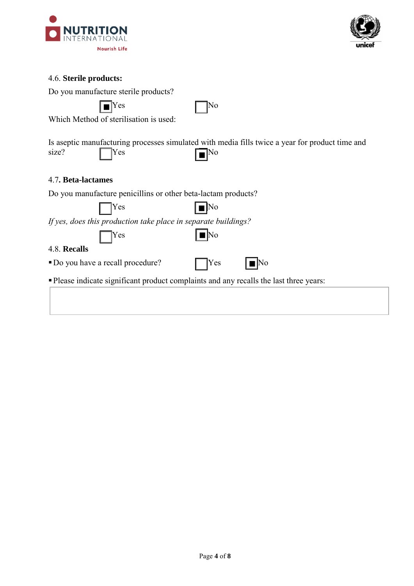



# 4.6. **Sterile products:**

Do you manufacture sterile products?

| $\overline{\text{I} \text{Yes}}$<br>$\overline{\phantom{a}}$ | No |
|--------------------------------------------------------------|----|
|--------------------------------------------------------------|----|

Which Method of sterilisation is used:

|                  |                 | Is aseptic manufacturing processes simulated with media fills twice a year for product time and |
|------------------|-----------------|-------------------------------------------------------------------------------------------------|
| size? $\Box$ Yes | $\Box^{\rm No}$ |                                                                                                 |

#### 4.7**. Beta-lactames**

Do you manufacture penicillins or other beta-lactam products?

| $ $ $ $ Yes | $\vert \blacksquare \vert$ No                                  |
|-------------|----------------------------------------------------------------|
|             | If yes, does this production take place in separate buildings? |

 $Yes$   $| \blacksquare$  No

#### 4.8. **Recalls**

 $\blacksquare$  Do you have a recall procedure?  $\blacksquare$  Yes  $\blacksquare$  No

| ۰ |  |  |
|---|--|--|
|   |  |  |

Please indicate significant product complaints and any recalls the last three years: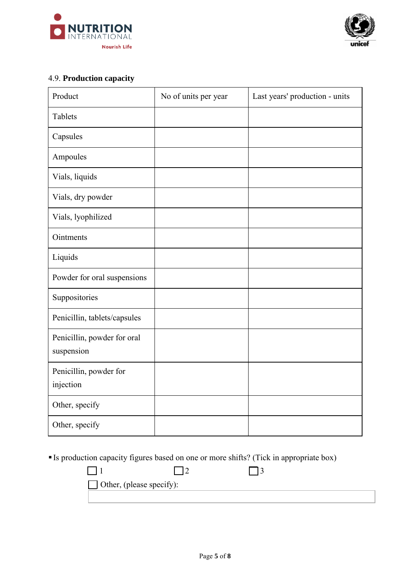



# 4.9. **Production capacity**

| Product                                   | No of units per year | Last years' production - units |
|-------------------------------------------|----------------------|--------------------------------|
| Tablets                                   |                      |                                |
| Capsules                                  |                      |                                |
| Ampoules                                  |                      |                                |
| Vials, liquids                            |                      |                                |
| Vials, dry powder                         |                      |                                |
| Vials, lyophilized                        |                      |                                |
| Ointments                                 |                      |                                |
| Liquids                                   |                      |                                |
| Powder for oral suspensions               |                      |                                |
| Suppositories                             |                      |                                |
| Penicillin, tablets/capsules              |                      |                                |
| Penicillin, powder for oral<br>suspension |                      |                                |
| Penicillin, powder for<br>injection       |                      |                                |
| Other, specify                            |                      |                                |
| Other, specify                            |                      |                                |

Is production capacity figures based on one or more shifts? (Tick in appropriate box)

| $\Box$ Other, (please specify): |  |  |
|---------------------------------|--|--|
|                                 |  |  |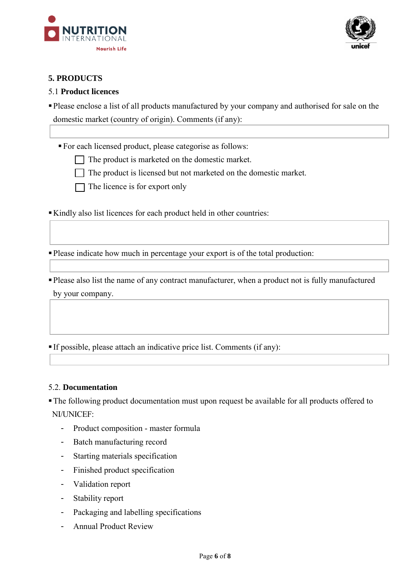



# **5. PRODUCTS**

#### 5.1 **Product licences**

Please enclose a list of all products manufactured by your company and authorised for sale on the domestic market (country of origin). Comments (if any):

For each licensed product, please categorise as follows:

- $\Box$  The product is marketed on the domestic market.
- $\Box$  The product is licensed but not marketed on the domestic market.

 $\Box$  The licence is for export only

Kindly also list licences for each product held in other countries:

Please indicate how much in percentage your export is of the total production:

Please also list the name of any contract manufacturer, when a product not is fully manufactured by your company.

If possible, please attach an indicative price list. Comments (if any):

#### 5.2. **Documentation**

The following product documentation must upon request be available for all products offered to NI/UNICEF:

- Product composition master formula
- Batch manufacturing record
- Starting materials specification
- Finished product specification
- Validation report
- Stability report
- Packaging and labelling specifications
- Annual Product Review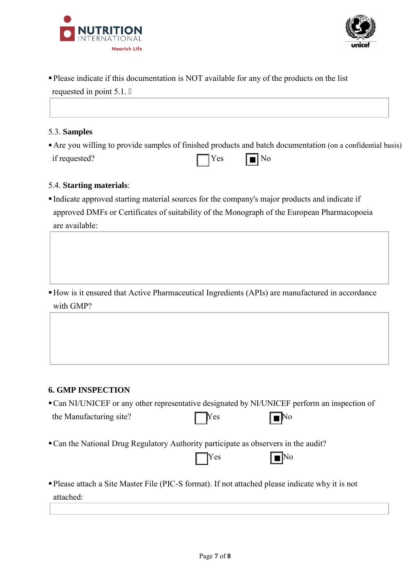



Please indicate if this documentation is NOT available for any of the products on the list

| requested in point $5.1 <$                                                                                  |            |                           |  |
|-------------------------------------------------------------------------------------------------------------|------------|---------------------------|--|
|                                                                                                             |            |                           |  |
| 5.3. Samples                                                                                                |            |                           |  |
| • Are you willing to provide samples of finished products and batch documentation (on a confidential basis) |            |                           |  |
| if requested?                                                                                               | $\Box$ Yes | $\boxed{\blacksquare}$ No |  |

## 5.4. **Starting materials**:

 Indicate approved starting material sources for the company's major products and indicate if approved DMFs or Certificates of suitability of the Monograph of the European Pharmacopoeia are available:

How is it ensured that Active Pharmaceutical Ingredients (APIs) are manufactured in accordance with GMP?

## **6. GMP INSPECTION**

|                                                                                                               |              | • Can NI/UNICEF or any other representative designated by NI/UNICEF perform an inspection of |  |
|---------------------------------------------------------------------------------------------------------------|--------------|----------------------------------------------------------------------------------------------|--|
| the Manufacturing site?                                                                                       | $\gamma$     | ⊺No                                                                                          |  |
| • Can the National Drug Regulatory Authority participate as observers in the audit?                           | $\gamma$ res | $\boxed{\blacksquare}$ No                                                                    |  |
| • Please attach a Site Master File (PIC-S format). If not attached please indicate why it is not<br>attached: |              |                                                                                              |  |